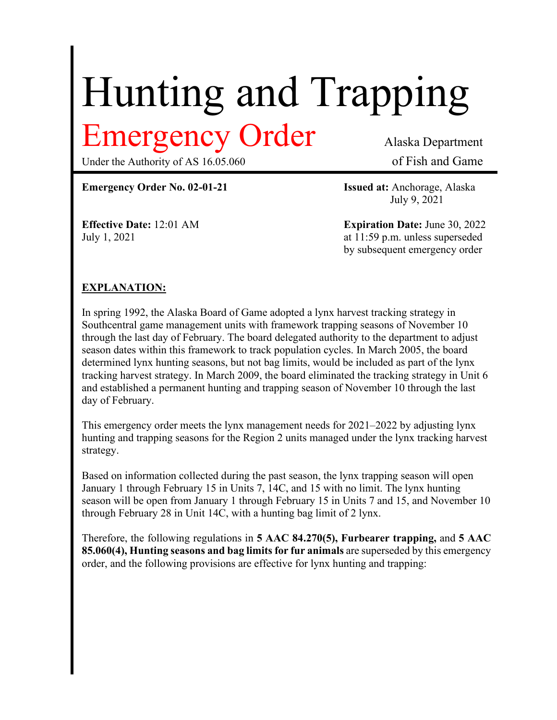# Hunting and Trapping

Under the Authority of AS 16.05.060 of Fish and Game

Emergency Order Alaska Department

**Emergency Order No. 02-01-21 Issued at:** Anchorage, Alaska

July 9, 2021

**Effective Date:** 12:01 AM **Expiration Date:** June 30, 2022 July 1, 2021 at 11:59 p.m. unless superseded by subsequent emergency order

## **EXPLANATION:**

In spring 1992, the Alaska Board of Game adopted a lynx harvest tracking strategy in Southcentral game management units with framework trapping seasons of November 10 through the last day of February. The board delegated authority to the department to adjust season dates within this framework to track population cycles. In March 2005, the board determined lynx hunting seasons, but not bag limits, would be included as part of the lynx tracking harvest strategy. In March 2009, the board eliminated the tracking strategy in Unit 6 and established a permanent hunting and trapping season of November 10 through the last day of February.

This emergency order meets the lynx management needs for 2021–2022 by adjusting lynx hunting and trapping seasons for the Region 2 units managed under the lynx tracking harvest strategy.

Based on information collected during the past season, the lynx trapping season will open January 1 through February 15 in Units 7, 14C, and 15 with no limit. The lynx hunting season will be open from January 1 through February 15 in Units 7 and 15, and November 10 through February 28 in Unit 14C, with a hunting bag limit of 2 lynx.

Therefore, the following regulations in **5 AAC 84.270(5), Furbearer trapping,** and **5 AAC 85.060(4), Hunting seasons and bag limits for fur animals** are superseded by this emergency order, and the following provisions are effective for lynx hunting and trapping: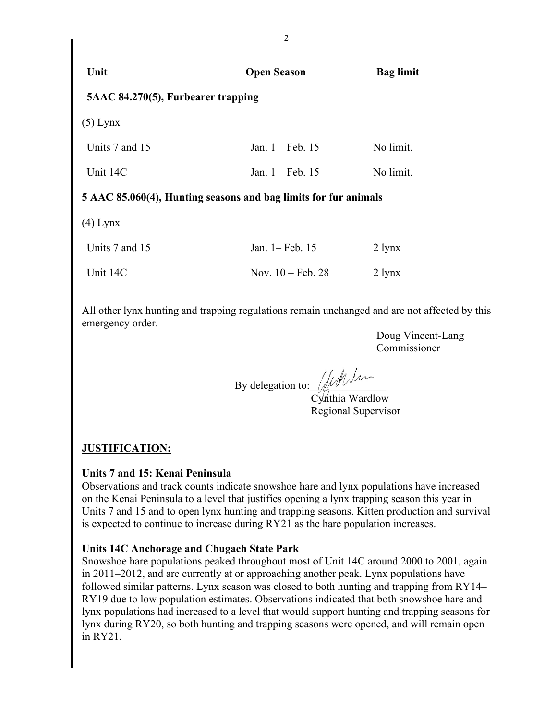| Unit                               | <b>Open Season</b>                                              | <b>Bag limit</b> |
|------------------------------------|-----------------------------------------------------------------|------------------|
| 5AAC 84.270(5), Furbearer trapping |                                                                 |                  |
| $(5)$ Lynx                         |                                                                 |                  |
| Units 7 and 15                     | Jan. 1 - Feb. 15                                                | No limit.        |
| Unit 14C                           | Jan. $1 - \text{Feb. } 15$                                      | No limit.        |
|                                    | 5 AAC 85.060(4), Hunting seasons and bag limits for fur animals |                  |
| $(4)$ Lynx                         |                                                                 |                  |
| Units 7 and 15                     | Jan. 1– Feb. 15                                                 | $2 \text{ lynx}$ |
| Unit 14C                           | Nov. $10 - \text{Feb. } 28$                                     | $2 \text{ lynx}$ |

All other lynx hunting and trapping regulations remain unchanged and are not affected by this emergency order.

> Doug Vincent-Lang Commissioner

By delegation to: With

Cynthia Wardlow Regional Supervisor

### **JUSTIFICATION:**

### **Units 7 and 15: Kenai Peninsula**

Observations and track counts indicate snowshoe hare and lynx populations have increased on the Kenai Peninsula to a level that justifies opening a lynx trapping season this year in Units 7 and 15 and to open lynx hunting and trapping seasons. Kitten production and survival is expected to continue to increase during RY21 as the hare population increases.

### **Units 14C Anchorage and Chugach State Park**

Snowshoe hare populations peaked throughout most of Unit 14C around 2000 to 2001, again in 2011–2012, and are currently at or approaching another peak. Lynx populations have followed similar patterns. Lynx season was closed to both hunting and trapping from RY14– RY19 due to low population estimates. Observations indicated that both snowshoe hare and lynx populations had increased to a level that would support hunting and trapping seasons for lynx during RY20, so both hunting and trapping seasons were opened, and will remain open in RY21.